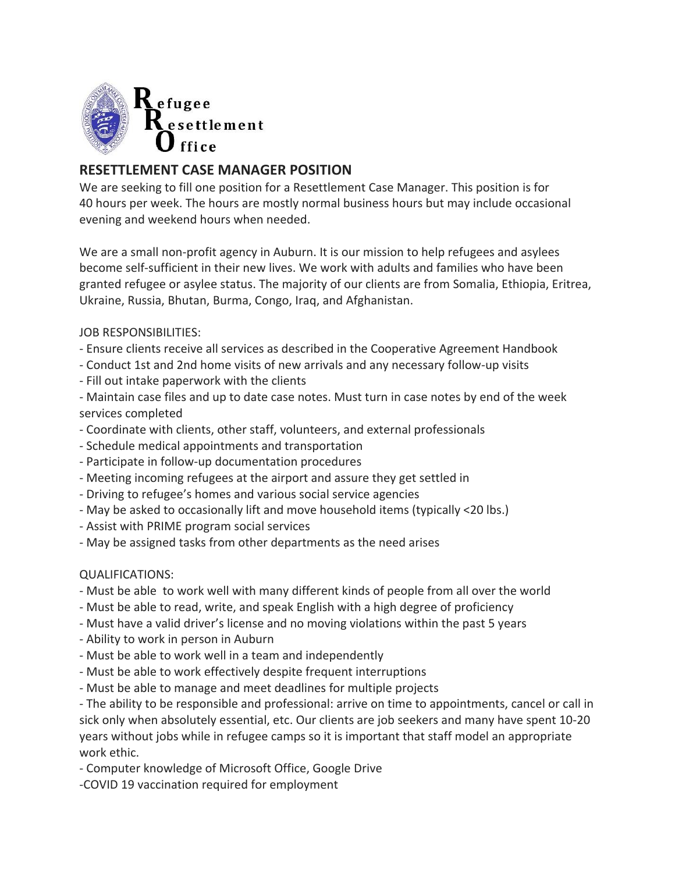

## **RESETTLEMENT CASE MANAGER POSITION**

We are seeking to fill one position for a Resettlement Case Manager. This position is for 40 hours per week. The hours are mostly normal business hours but may include occasional evening and weekend hours when needed.

We are a small non-profit agency in Auburn. It is our mission to help refugees and asylees become self-sufficient in their new lives. We work with adults and families who have been granted refugee or asylee status. The majority of our clients are from Somalia, Ethiopia, Eritrea, Ukraine, Russia, Bhutan, Burma, Congo, Iraq, and Afghanistan.

JOB RESPONSIBILITIES:

- Ensure clients receive all services as described in the Cooperative Agreement Handbook
- Conduct 1st and 2nd home visits of new arrivals and any necessary follow-up visits
- Fill out intake paperwork with the clients

- Maintain case files and up to date case notes. Must turn in case notes by end of the week services completed

- Coordinate with clients, other staff, volunteers, and external professionals
- Schedule medical appointments and transportation
- Participate in follow-up documentation procedures
- Meeting incoming refugees at the airport and assure they get settled in
- Driving to refugee's homes and various social service agencies
- May be asked to occasionally lift and move household items (typically <20 lbs.)
- Assist with PRIME program social services
- May be assigned tasks from other departments as the need arises

## QUALIFICATIONS:

- Must be able to work well with many different kinds of people from all over the world
- Must be able to read, write, and speak English with a high degree of proficiency
- Must have a valid driver's license and no moving violations within the past 5 years
- Ability to work in person in Auburn
- Must be able to work well in a team and independently
- Must be able to work effectively despite frequent interruptions
- Must be able to manage and meet deadlines for multiple projects

- The ability to be responsible and professional: arrive on time to appointments, cancel or call in sick only when absolutely essential, etc. Our clients are job seekers and many have spent 10-20 years without jobs while in refugee camps so it is important that staff model an appropriate work ethic.

- Computer knowledge of Microsoft Office, Google Drive
- -COVID 19 vaccination required for employment